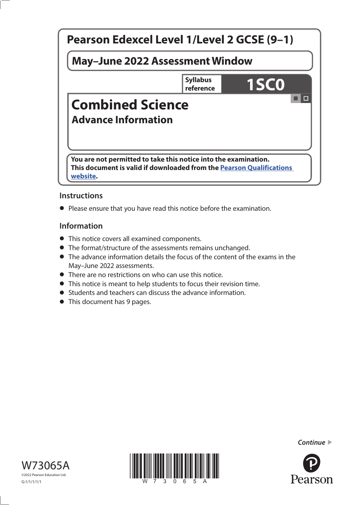

## **Instructions**

**•** Please ensure that you have read this notice before the examination.

### **Information**

- This notice covers all examined components.
- The format/structure of the assessments remains unchanged.
- The advance information details the focus of the content of the exams in the May–June 2022 assessments.
- There are no restrictions on who can use this notice.
- This notice is meant to help students to focus their revision time.
- Students and teachers can discuss the advance information.
- This document has 9 pages.







*Continue* 

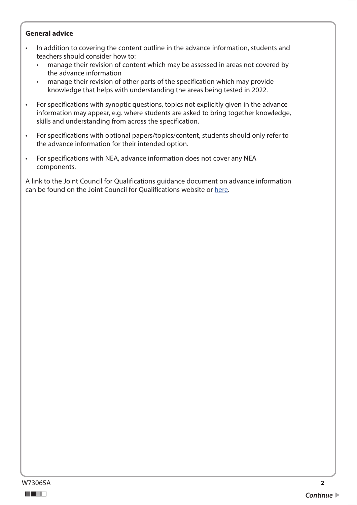#### **General advice**

- In addition to covering the content outline in the advance information, students and teachers should consider how to:
	- manage their revision of content which may be assessed in areas not covered by the advance information
	- manage their revision of other parts of the specification which may provide knowledge that helps with understanding the areas being tested in 2022.
- For specifications with synoptic questions, topics not explicitly given in the advance information may appear, e.g. where students are asked to bring together knowledge, skills and understanding from across the specification.
- For specifications with optional papers/topics/content, students should only refer to the advance information for their intended option.
- For specifications with NEA, advance information does not cover any NEA components.

A link to the Joint Council for Qualifications guidance document on advance information can be found on the Joint Council for Qualifications website or [here.](https://www.jcq.org.uk/wp-content/uploads/2021/10/Advance-Information-for-General-Qualifications-2021-22.pdf)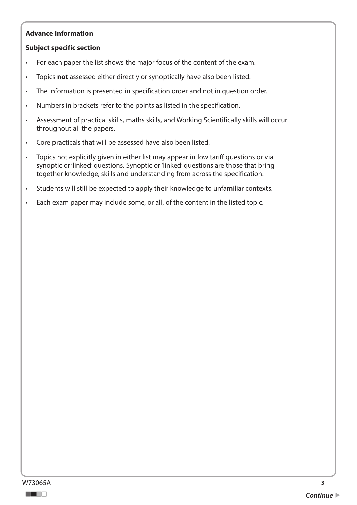### **Advance Information**

### **Subject specific section**

- For each paper the list shows the major focus of the content of the exam.
- Topics **not** assessed either directly or synoptically have also been listed.
- The information is presented in specification order and not in question order.
- Numbers in brackets refer to the points as listed in the specification.
- Assessment of practical skills, maths skills, and Working Scientifically skills will occur throughout all the papers.
- Core practicals that will be assessed have also been listed.
- Topics not explicitly given in either list may appear in low tariff questions or via synoptic or 'linked' questions. Synoptic or 'linked' questions are those that bring together knowledge, skills and understanding from across the specification.
- Students will still be expected to apply their knowledge to unfamiliar contexts.
- Each exam paper may include some, or all, of the content in the listed topic.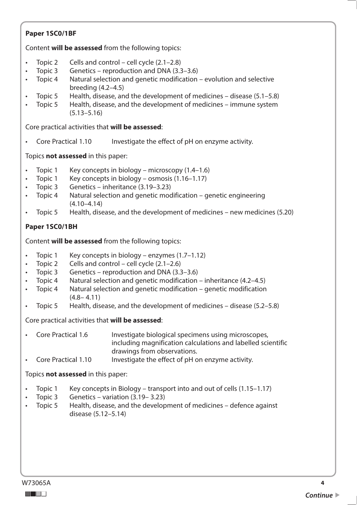#### a a she Topic 2 Topic 3 Topic 4 Topic 5 Topic 5 Core Practical 1.10 Topic 1 Topic 1 Topic 3 Topic 4 Topic 5 Topic 1 Topic 2 Topic 3 Topic 4 Topic 4 Topic 5 Topic 1 **Paper 1SC0/1BF**  Content **will be assessed** from the following topics: Cells and control – cell cycle  $(2.1–2.8)$ Genetics – reproduction and DNA (3.3–3.6) Natural selection and genetic modification – evolution and selective breeding (4.2–4.5) Health, disease, and the development of medicines – disease  $(5.1–5.8)$ Health, disease, and the development of medicines – immune system (5.13–5.16) Core practical activities that **will be assessed**: Investigate the effect of pH on enzyme activity. Topics **not assessed** in this paper: Key concepts in biology – microscopy  $(1.4-1.6)$ Key concepts in biology – osmosis  $(1.16-1.17)$ Genetics – inheritance (3.19–3.23) Natural selection and genetic modification – genetic engineering (4.10–4.14) • Topic 5 Health, disease, and the development of medicines – new medicines (5.20) **Paper 1SC0/1BH**  Content **will be assessed** from the following topics: Key concepts in biology – enzymes  $(1.7-1.12)$ Cells and control – cell cycle  $(2.1–2.6)$ Genetics – reproduction and DNA (3.3–3.6) Natural selection and genetic modification – inheritance  $(4.2-4.5)$ Natural selection and genetic modification – genetic modification  $(4.8 - 4.11)$ • Topic 5 Health, disease, and the development of medicines – disease (5.2–5.8) Core practical activities that **will be assessed**: • Core Practical 1.6 Investigate biological specimens using microscopes, including magnification calculations and labelled scientific drawings from observations. • Core Practical 1.10 Investigate the effect of pH on enzyme activity. Topics **not assessed** in this paper: Key concepts in Biology – transport into and out of cells  $(1.15-1.17)$ • Topic 3 Genetics – variation (3.19– 3.23) • Topic 5 Health, disease, and the development of medicines – defence against disease (5.12–5.14) W73065A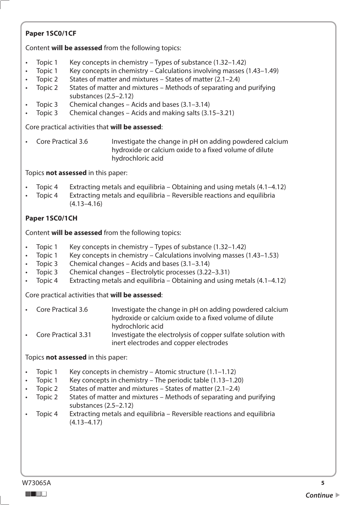## **Paper 1SC0/1CF**

Content **will be assessed** from the following topics:

- Topic 1 Key concepts in chemistry – Types of substance  $(1.32-1.42)$
- Topic 1 • Topic 1 Key concepts in chemistry – Calculations involving masses (1.43–1.49)
- Topic 2 States of matter and mixtures – States of matter  $(2.1–2.4)$
- Topic 2 States of matter and mixtures – Methods of separating and purifying substances (2.5–2.12)
- Topic 3 Chemical changes – Acids and bases  $(3.1-3.14)$
- Topic 3 Chemical changes – Acids and making salts (3.15–3.21)

Core practical activities that **will be assessed**:

Core Practical 3.6 Investigate the change in pH on adding powdered calcium hydroxide or calcium oxide to a fixed volume of dilute hydrochloric acid

Topics **not assessed** in this paper:

- Topic 4 Extracting metals and equilibria – Obtaining and using metals  $(4.1-4.12)$
- Topic 4 Extracting metals and equilibria – Reversible reactions and equilibria (4.13–4.16)

# **Paper 1SC0/1CH**

Content **will be assessed** from the following topics:

- Topic 1 • Topic 1 Key concepts in chemistry – Types of substance  $(1.32-1.42)$
- Topic 1 Key concepts in chemistry – Calculations involving masses (1.43–1.53)
- Topic 3 Chemical changes – Acids and bases  $(3.1-3.14)$
- Topic 3 Chemical changes – Electrolytic processes (3.22–3.31)
- Topic 4 Extracting metals and equilibria – Obtaining and using metals  $(4.1-4.12)$

Core practical activities that **will be assessed**:

• Core Practical 3.6 Investigate the change in pH on adding powdered calcium hydroxide or calcium oxide to a fixed volume of dilute hydrochloric acid • Core Practical 3.31 Investigate the electrolysis of copper sulfate solution with inert electrodes and copper electrodes

- Topic 1 Key concepts in chemistry – Atomic structure  $(1.1-1.12)$
- Topic 1 Key concepts in chemistry – The periodic table  $(1.13-1.20)$
- Topic 2 States of matter and mixtures – States of matter  $(2.1–2.4)$
- Topic 2 States of matter and mixtures – Methods of separating and purifying substances (2.5–2.12)
- Topic 4 • Topic 4 Extracting metals and equilibria – Reversible reactions and equilibria (4.13–4.17)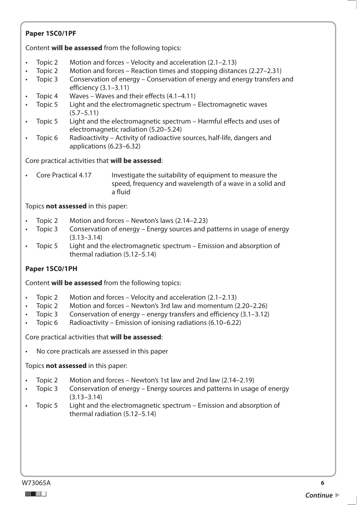### **Paper 1SC0/1PF**

Content **will be assessed** from the following topics:

- Topic 2 Motion and forces – Velocity and acceleration  $(2.1–2.13)$
- Topic 2 Motion and forces – Reaction times and stopping distances (2.27–2.31)
- Topic 3 Conservation of energy – Conservation of energy and energy transfers and efficiency (3.1–3.11)
- Topic 4 Waves – Waves and their effects  $(4.1-4.11)$
- Topic 5 Light and the electromagnetic spectrum Electromagnetic waves (5.7–5.11)
- Topic 5 Light and the electromagnetic spectrum Harmful effects and uses of electromagnetic radiation (5.20–5.24)
- Topic 6 Radioactivity Activity of radioactive sources, half-life, dangers and applications (6.23–6.32)

Core practical activities that **will be assessed**:

• Core Practical 4.17 Investigate the suitability of equipment to measure the speed, frequency and wavelength of a wave in a solid and a fluid

Topics **not assessed** in this paper:

- Topic 2 Motion and forces Newton's laws (2.14–2.23)
- Topic 3 Conservation of energy – Energy sources and patterns in usage of energy (3.13–3.14)
- Topic 5 • Topic 5 Light and the electromagnetic spectrum – Emission and absorption of thermal radiation (5.12–5.14)

### **Paper 1SC0/1PH**

Content **will be assessed** from the following topics:

- Topic 2 Motion and forces – Velocity and acceleration  $(2.1–2.13)$
- Topic 2 Motion and forces – Newton's 3rd law and momentum (2.20–2.26)
- Topic 3 Conservation of energy – energy transfers and efficiency  $(3.1-3.12)$
- Topic 6 Radioactivity Emission of ionising radiations (6.10–6.22)

Core practical activities that **will be assessed**:

• No core practicals are assessed in this paper

- Topic 2 Motion and forces – Newton's 1st law and 2nd law (2.14–2.19)
- Topic 3 Conservation of energy – Energy sources and patterns in usage of energy (3.13–3.14)
- Topic 5 Light and the electromagnetic spectrum Emission and absorption of thermal radiation (5.12–5.14)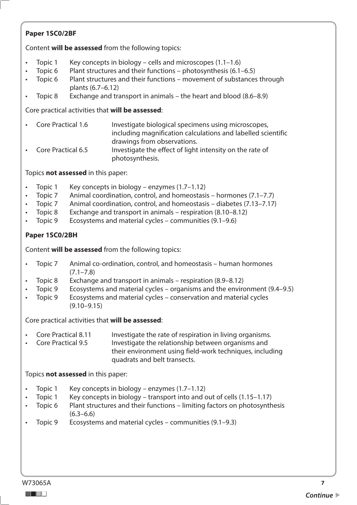### **Paper 1SC0/2BF**

Content **will be assessed** from the following topics:

- Topic 1 Key concepts in biology cells and microscopes  $(1.1-1.6)$
- Topic  $6$  Plant structures and their functions photosynthesis  $(6.1-6.5)$
- Topic 6 Plant structures and their functions movement of substances through plants (6.7–6.12)
- Topic 8 Exchange and transport in animals the heart and blood (8.6–8.9)

### Core practical activities that **will be assessed**:

| • Core Practical 1.6 | Investigate biological specimens using microscopes,          |
|----------------------|--------------------------------------------------------------|
|                      | including magnification calculations and labelled scientific |
|                      | drawings from observations.                                  |
| • Core Practical 6.5 | Investigate the effect of light intensity on the rate of     |
|                      | photosynthesis.                                              |

Topics **not assessed** in this paper:

- Topic 1 Key concepts in biology enzymes (1.7–1.12)
- Topic 7 Animal coordination, control, and homeostasis – hormones  $(7.1–7.7)$
- Topic 7 Animal coordination, control, and homeostasis – diabetes (7.13–7.17)
- Topic 8 Exchange and transport in animals – respiration (8.10–8.12)
- Topic 9 Ecosystems and material cycles – communities  $(9.1–9.6)$

## **Paper 1SC0/2BH**

Content **will be assessed** from the following topics:

- Topic 7 Animal co-ordination, control, and homeostasis – human hormones  $(7.1 - 7.8)$
- Topic 8 Exchange and transport in animals – respiration  $(8.9-8.12)$
- Topic 9 Ecosystems and material cycles – organisms and the environment  $(9.4-9.5)$
- Topic 9 Ecosystems and material cycles – conservation and material cycles  $(9.10 - 9.15)$

Core practical activities that **will be assessed**:

- Core Practical 8.11 Investigate the rate of respiration in living organisms.
- Core Practical 9.5 Investigate the relationship between organisms and their environment using field-work techniques, including quadrats and belt transects.

- Topic 1 Key concepts in biology enzymes  $(1.7-1.12)$
- Topic 1 Key concepts in biology transport into and out of cells (1.15–1.17)
- Topic 6 Plant structures and their functions limiting factors on photosynthesis  $(6.3–6.6)$
- Topic 9 Ecosystems and material cycles – communities  $(9.1–9.3)$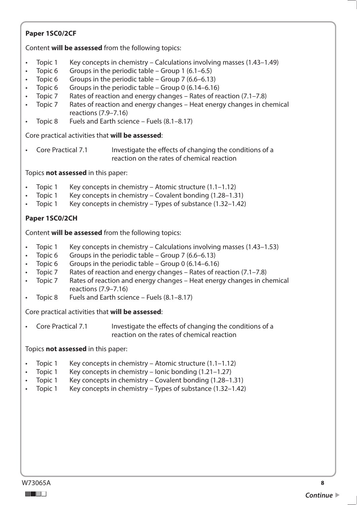### **Paper 1SC0/2CF**

Content **will be assessed** from the following topics:

- Topic 1 Key concepts in chemistry – Calculations involving masses  $(1.43-1.49)$
- Topic<sub>6</sub> • Topic 6 Groups in the periodic table – Group 1  $(6.1-6.5)$
- Topic<sub>6</sub> Groups in the periodic table – Group 7  $(6.6-6.13)$
- Topic<sub>6</sub> Groups in the periodic table – Group 0  $(6.14-6.16)$
- Topic 7 Rates of reaction and energy changes – Rates of reaction  $(7.1–7.8)$
- Topic 7 Rates of reaction and energy changes – Heat energy changes in chemical reactions (7.9–7.16)
- Topic 8 Fuels and Earth science – Fuels  $(8.1-8.17)$

Core practical activities that **will be assessed**:

• Core Practical 7.1 Investigate the effects of changing the conditions of a reaction on the rates of chemical reaction

Topics **not assessed** in this paper:

- Topic 1 Key concepts in chemistry – Atomic structure  $(1.1-1.12)$
- Topic 1 Key concepts in chemistry Covalent bonding (1.28–1.31)
- Topic 1 Key concepts in chemistry – Types of substance  $(1.32-1.42)$

### **Paper 1SC0/2CH**

Content **will be assessed** from the following topics:

- Topic 1 • Topic 1 Key concepts in chemistry – Calculations involving masses (1.43–1.53)
- Topic<sub>6</sub> Groups in the periodic table – Group 7 (6.6–6.13)
- Topic<sub>6</sub> Groups in the periodic table – Group 0  $(6.14-6.16)$
- Topic 7 Rates of reaction and energy changes – Rates of reaction  $(7.1–7.8)$
- Topic 7 Rates of reaction and energy changes – Heat energy changes in chemical reactions (7.9–7.16)
- Topic 8 • Topic 8 Fuels and Earth science – Fuels  $(8.1-8.17)$

Core practical activities that **will be assessed**:

**Core Practical 7.1** Investigate the effects of changing the conditions of a reaction on the rates of chemical reaction

- Topic 1 Key concepts in chemistry – Atomic structure  $(1.1-1.12)$
- Topic 1 Key concepts in chemistry – Ionic bonding  $(1.21-1.27)$
- Topic 1 Key concepts in chemistry – Covalent bonding  $(1.28-1.31)$
- Topic 1 Key concepts in chemistry – Types of substance  $(1.32-1.42)$